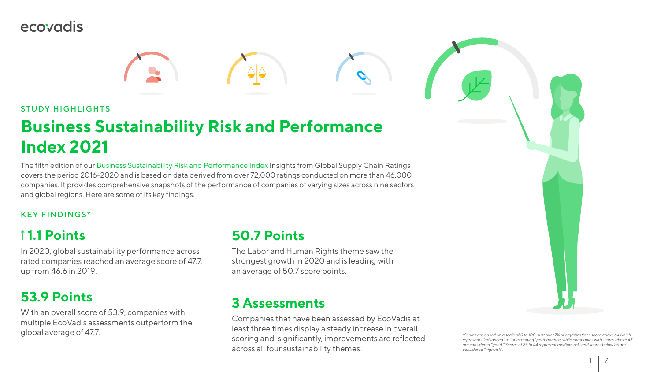1 7



## ecovadis



#### STUDY HIGHLIGHTS

# **Business Sustainability Risk and Performance Index 2021**

#### KEY FINDINGS\*

## **1.1 Points**

In 2020, global sustainability performance across rated companies reached an average score of 47.7, up from 46.6 in 2019.

## **53.9 Points**

With an overall score of 53.9, companies with multiple EcoVadis assessments outperform the global average of 47.7.

The fifth edition of our [Business Sustainability Risk and Performance Index](https://ecovad.is/3unbFN7) Insights from Global Supply Chain Ratings covers the period 2016-2020 and is based on data derived from over 72,000 ratings conducted on more than 46,000 companies. It provides comprehensive snapshots of the performance of companies of varying sizes across nine sectors and global regions. Here are some of its key findings.

> *\*Scores are based on a scale of 0 to 100. Just over 7% of organizations score above 64 which represents "advanced" to "outstanding" performance, while companies with scores above 45 are considered "good." Scores of 25 to 44 represent medium risk, and scores below 25 are considered "high risk".*

### **50.7 Points**

The Labor and Human Rights theme saw the strongest growth in 2020 and is leading with an average of 50.7 score points.

### **3 Assessments**

Companies that have been assessed by EcoVadis at least three times display a steady increase in overall scoring and, significantly, improvements are reflected across all four sustainability themes.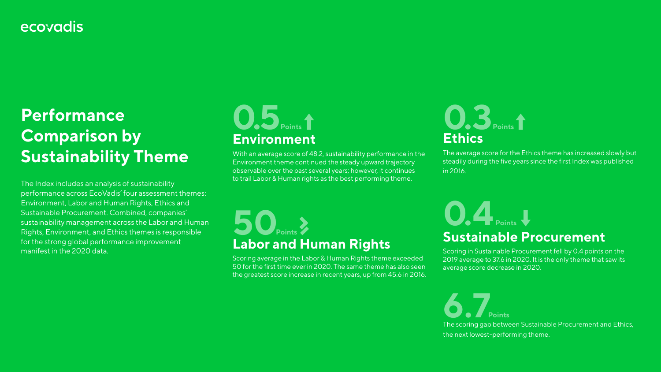## ecovadis

# **Performance Comparison by Sustainability Theme**

The Index includes an analysis of sustainability performance across EcoVadis' four assessment themes: Environment, Labor and Human Rights, Ethics and Sustainable Procurement. Combined, companies' sustainability management across the Labor and Human Rights, Environment, and Ethics themes is responsible for the strong global performance improvement manifest in the 2020 data.

# **Environment 0.5** Points

The average score for the Ethics theme has increased slowly but steadily during the five years since the first Index was published in 2016.

# **Labor and Human Rights 50**<br>Points

# **Ethics 0.3Points**

**Sustainable Procurement**  Scoring in Sustainable Procurement fell by 0.4 points on the 2019 average to 37.6 in 2020. It is the only theme that saw its average score decrease in 2020.

The scoring gap between Sustainable Procurement and Ethics, the next lowest-performing theme.

# **0.4 Points**

**6.7Points**

With an average score of 48.2, sustainability performance in the Environment theme continued the steady upward trajectory observable over the past several years; however, it continues to trail Labor & Human rights as the best performing theme.

Scoring average in the Labor & Human Rights theme exceeded 50 for the first time ever in 2020. The same theme has also seen the greatest score increase in recent years, up from 45.6 in 2016.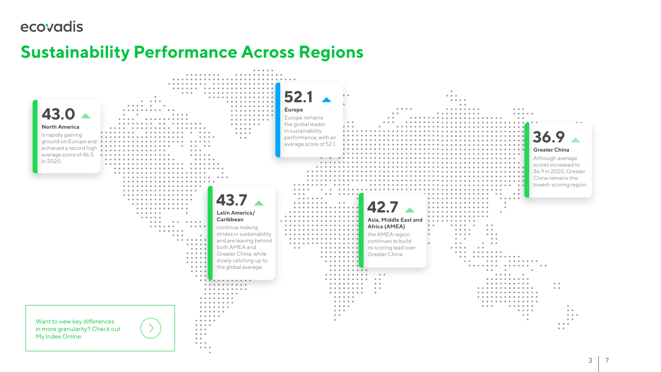## ecovadis

# **Sustainability Performance Across Regions**

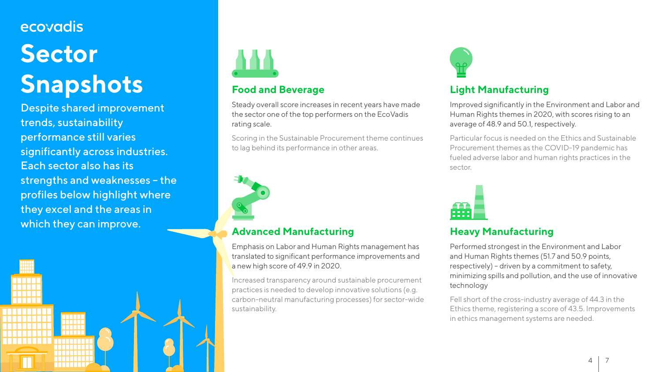# ecovadis **Sector Snapshots**

Despite shared improvement trends, sustainability performance still varies significantly across industries. Each sector also has its strengths and weaknesses – the profiles below highlight where they excel and the areas in which they can improve.

> 11111111 **THEFT OF TELEVISION**

<u>HINKININ</u> TI I I I I I I I I



#### **Light Manufacturing**

Improved significantly in the Environment and Labor and Human Rights themes in 2020, with scores rising to an average of 48.9 and 50.1, respectively.

Particular focus is needed on the Ethics and Sustainable Procurement themes as the COVID-19 pandemic has fueled adverse labor and human rights practices in the sector.



Steady overall score increases in recent years have made the sector one of the top performers on the EcoVadis rating scale.

#### **Heavy Manufacturing**

Performed strongest in the Environment and Labor and Human Rights themes (51.7 and 50.9 points, respectively) – driven by a commitment to safety, minimizing spills and pollution, and the use of innovative technology

Fell short of the cross-industry average of 44.3 in the Ethics theme, registering a score of 43.5. Improvements in ethics management systems are needed.





#### **Food and Beverage**

Scoring in the Sustainable Procurement theme continues to lag behind its performance in other areas.



#### **Advanced Manufacturing**

Emphasis on Labor and Human Rights management has translated to significant performance improvements and a new high score of 49.9 in 2020.

Increased transparency around sustainable procurement practices is needed to develop innovative solutions (e.g. carbon-neutral manufacturing processes) for sector-wide sustainability.

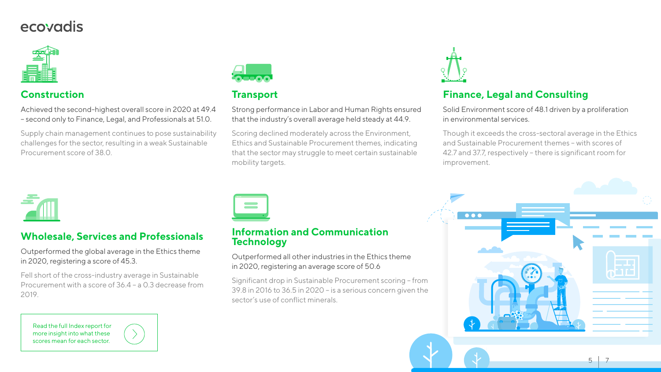# ecovadis



#### **Construction**

Achieved the second-highest overall score in 2020 at 49.4 – second only to Finance, Legal, and Professionals at 51.0.

Supply chain management continues to pose sustainability challenges for the sector, resulting in a weak Sustainable Procurement score of 38.0.



#### **Wholesale, Services and Professionals**

Outperformed the global average in the Ethics theme in 2020, registering a score of 45.3.

Fell short of the cross-industry average in Sustainable Procurement with a score of 36.4 – a 0.3 decrease from 2019.

#### **Transport**

Strong performance in Labor and Human Rights ensured that the industry's overall average held steady at 44.9.

Scoring declined moderately across the Environment, Ethics and Sustainable Procurement themes, indicating that the sector may struggle to meet certain sustainable mobility targets.



#### **Information and Communication Technology**

# Outperformed all other industries in the Ethics theme



in 2020, registering an average score of 50.6

Significant drop in Sustainable Procurement scoring – from 39.8 in 2016 to 36.5 in 2020 – is a serious concern given the sector's use of conflict minerals.



 $\bullet\bullet\bullet$ 

#### **Finance, Legal and Consulting**

Solid Environment score of 48.1 driven by a proliferation in environmental services.

Though it exceeds the cross-sectoral average in the Ethics and Sustainable Procurement themes – with scores of 42.7 and 37.7, respectively – there is significant room for improvement.

[Read the full Index report for](https://ecovad.is/3unbFN7)  more insight into what these scores mean for each sector.